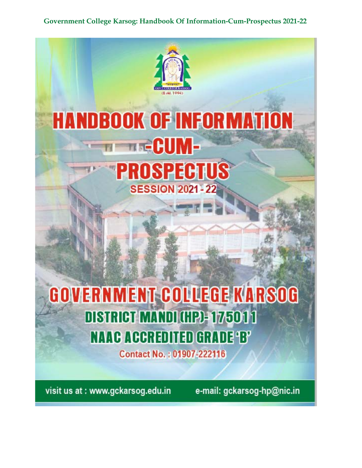

visit us at: www.gckarsog.edu.in

e-mail: gckarsog-hp@nic.in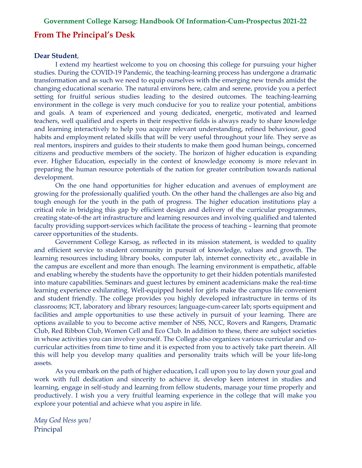### **From The Principal's Desk**

#### **Dear Student**,

I extend my heartiest welcome to you on choosing this college for pursuing your higher studies. During the COVID-19 Pandemic, the teaching-learning process has undergone a dramatic transformation and as such we need to equip ourselves with the emerging new trends amidst the changing educational scenario. The natural environs here, calm and serene, provide you a perfect setting for fruitful serious studies leading to the desired outcomes. The teaching-learning environment in the college is very much conducive for you to realize your potential, ambitions and goals. A team of experienced and young dedicated, energetic, motivated and learned teachers, well qualified and experts in their respective fields is always ready to share knowledge and learning interactively to help you acquire relevant understanding, refined behaviour, good habits and employment related skills that will be very useful throughout your life. They serve as real mentors, inspirers and guides to their students to make them good human beings, concerned citizens and productive members of the society. The horizon of higher education is expanding ever. Higher Education, especially in the context of knowledge economy is more relevant in preparing the human resource potentials of the nation for greater contribution towards national development.

On the one hand opportunities for higher education and avenues of employment are growing for the professionally qualified youth. On the other hand the challenges are also big and tough enough for the youth in the path of progress. The higher education institutions play a critical role in bridging this gap by efficient design and delivery of the curricular programmes, creating state-of-the art infrastructure and learning resources and involving qualified and talented faculty providing support-services which facilitate the process of teaching – learning that promote career opportunities of the students.

 Government College Karsog, as reflected in its mission statement, is wedded to quality and efficient service to student community in pursuit of knowledge, values and growth. The learning resources including library books, computer lab, internet connectivity etc., available in the campus are excellent and more than enough. The learning environment is empathetic, affable and enabling whereby the students have the opportunity to get their hidden potentials manifested into mature capabilities. Seminars and guest lectures by eminent academicians make the real-time learning experience exhilarating. Well-equipped hostel for girls make the campus life convenient and student friendly. The college provides you highly developed infrastructure in terms of its classrooms; ICT, laboratory and library resources; language-cum-career lab; sports equipment and facilities and ample opportunities to use these actively in pursuit of your learning. There are options available to you to become active member of NSS, NCC, Rovers and Rangers, Dramatic Club, Red Ribbon Club, Women Cell and Eco Club. In addition to these, there are subject societies in whose activities you can involve yourself. The College also organizes various curricular and cocurricular activities from time to time and it is expected from you to actively take part therein. All this will help you develop many qualities and personality traits which will be your life-long assets.

As you embark on the path of higher education, I call upon you to lay down your goal and work with full dedication and sincerity to achieve it, develop keen interest in studies and learning, engage in self-study and learning from fellow students, manage your time properly and productively. I wish you a very fruitful learning experience in the college that will make you explore your potential and achieve what you aspire in life.

*May God bless you!* Principal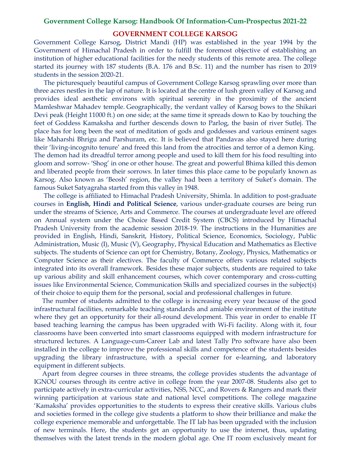#### **GOVERNMENT COLLEGE KARSOG**

Government College Karsog, District Mandi (HP) was established in the year 1994 by the Government of Himachal Pradesh in order to fulfill the foremost objective of establishing an institution of higher educational facilities for the needy students of this remote area. The college started its journey with 187 students (B.A. 176 and B.Sc. 11) and the number has risen to 2019 students in the session 2020-21.

 The picturesquely beautiful campus of Government College Karsog sprawling over more than three acres nestles in the lap of nature. It is located at the centre of lush green valley of Karsog and provides ideal aesthetic environs with spiritual serenity in the proximity of the ancient Mamleshwar Mahadev temple. Geographically, the verdant valley of Karsog bows to the Shikari Devi peak (Height 11000 ft.) on one side; at the same time it spreads down to Kao by touching the feet of Goddess Kamaksha and further descends down to Parlog, the basin of river Sutlej. The place has for long been the seat of meditation of gods and goddesses and various eminent sages like Maharshi Bhrigu and Parshuram, etc. It is believed that Pandavas also stayed here during their 'living-incognito tenure' and freed this land from the atrocities and terror of a demon King. The demon had its dreadful terror among people and used to kill them for his food resulting into gloom and sorrow- 'Shog' in one or other house. The great and powerful Bhima killed this demon and liberated people from their sorrows. In later times this place came to be popularly known as Karsog. Also known as 'Beosh' region, the valley had been a territory of Suket's domain. The famous Suket Satyagraha started from this valley in 1948.

 The college is affiliated to Himachal Pradesh University, Shimla. In addition to post-graduate courses in **English, Hindi and Political Science**, various under-graduate courses are being run under the streams of Science, Arts and Commerce. The courses at undergraduate level are offered on Annual system under the Choice Based Credit System (CBCS) introduced by Himachal Pradesh University from the academic session 2018-19. The instructions in the Humanities are provided in English, Hindi, Sanskrit, History, Political Science, Economics, Sociology, Public Administration, Music (I), Music (V), Geography, Physical Education and Mathematics as Elective subjects. The students of Science can opt for Chemistry, Botany, Zoology, Physics, Mathematics or Computer Science as their electives. The faculty of Commerce offers various related subjects integrated into its overall framework. Besides these major subjects, students are required to take up various ability and skill enhancement courses, which cover contemporary and cross-cutting issues like Environmental Science, Communication Skills and specialized courses in the subject(s) of their choice to equip them for the personal, social and professional challenges in future.

 The number of students admitted to the college is increasing every year because of the good infrastructural facilities, remarkable teaching standards and amiable environment of the institute where they get an opportunity for their all-round development. This year in order to enable IT based teaching learning the campus has been upgraded with Wi-Fi facility. Along with it, four classrooms have been converted into smart classrooms equipped with modern infrastructure for structured lectures. A Language-cum-Career Lab and latest Tally Pro software have also been installed in the college to improve the professional skills and competence of the students besides upgrading the library infrastructure, with a special corner for e-learning, and laboratory equipment in different subjects.

 Apart from degree courses in three streams, the college provides students the advantage of IGNOU courses through its centre active in college from the year 2007-08. Students also get to participate actively in extra-curricular activities, NSS, NCC, and Rovers & Rangers and mark their winning participation at various state and national level competitions. The college magazine 'Kamaksha' provides opportunities to the students to express their creative skills. Various clubs and societies formed in the college give students a platform to show their brilliance and make the college experience memorable and unforgettable. The IT lab has been upgraded with the inclusion of new terminals. Here, the students get an opportunity to use the internet, thus, updating themselves with the latest trends in the modern global age. One IT room exclusively meant for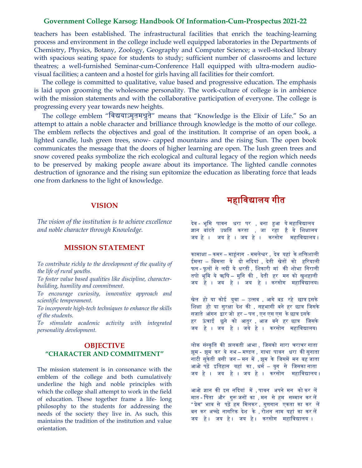teachers has been established. The infrastructural facilities that enrich the teaching-learning process and environment in the college include well equipped laboratories in the Departments of Chemistry, Physics, Botany, Zoology, Geography and Computer Science; a well-stocked library with spacious seating space for students to study; sufficient number of classrooms and lecture theatres; a well-furnished Seminar-cum-Conference Hall equipped with ultra-modern audiovisual facilities; a canteen and a hostel for girls having all facilities for their comfort.

 The college is committed to qualitative, value based and progressive education. The emphasis is laid upon grooming the wholesome personality. The work-culture of college is in ambience with the mission statements and with the collaborative participation of everyone. The college is progressing every year towards new heights.

 The college emblem "िव�याऽमृतम�ुते" means that "Knowledge is the Elixir of Life." So an attempt to attain a noble character and brilliance through knowledge is the motto of our college. The emblem reflects the objectives and goal of the institution. It comprise of an open book, a lighted candle, lush green trees, snow- capped mountains and the rising Sun. The open book communicates the message that the doors of higher learning are open. The lush green trees and snow covered peaks symbolize the rich ecological and cultural legacy of the region which needs to be preserved by making people aware about its importance. The lighted candle connotes destruction of ignorance and the rising sun epitomize the education as liberating force that leads one from darkness to the light of knowledge.

#### **VISION**

*The vision of the institution is to achieve excellence and noble character through Knowledge.*

#### **MISSION STATEMENT**

*To contribute richly to the development of the quality of the life of rural youths.*

*To foster value based qualities like discipline, characterbuilding, humility and commitment.*

*To encourage curiosity, innovative approach and scientific temperament.*

*To incorporate high-tech techniques to enhance the skills of the students.*

*To stimulate academic activity with integrated personality development.*

### **OBJECTIVE "CHARACTER AND COMMITMENT"**

The mission statement is in consonance with the emblem of the college and both cumulatively underline the high and noble principles with which the college shall attempt to work in the field of education. These together frame a life- long philosophy to the students for addressing the needs of the society they live in. As such, this maintains the tradition of the institution and value orientation.

# महाविद्यालय गीत

देव - भूमि पावन धरा पर , बना हआ ये महाविद्यालय ज्ञान बांटते उन्नति करता , जा रहा है ये शिक्षालय जय हे । जय हे । जय हे । करसोग महाविद्यालय ।

कामाक्ष– कम� – मा�ंनाग - ममले�र , देव यहां के शि�शाली ईमला – बिमला ये दो नदियां , देती खेतों को हरियाली फल - फूलों से लदी ये धरती , शिकारी मां की शोभा निराली तपो भूमि ये ॠषि – मुनि की , देती हर मन को खुशहाली जय हे । जय हे । जय हे । करसोग महाविद्यालय।

खेल हो या कोई युवा – उत्सव , आगे बढ़ रहे छात्र इसके शिक्षा हो या सुरक्षा देश की , सहभागी बने हर छात्र जिसके सजाते आंगन �ार जो हर – पल , एन एस एस के छा� इसके हर ऊंचाई छूने को आतुर , आज बने हर छात्र जिसके जय हे । जय हे । जये हे । करसोग महाविद्यालय।

लोक संस्कृति की झलकती आभा , जिसको सारा चराचर गाता झूम - झूम कर ये नभ – मण्डल , गाथा पावन धरा की सुनाता नाटी सुकेती बसी जन – मन में , झूम के जिसमें मन बह जाता आओ पढ़ें इतिहास यहां का ,धर्म – युग से जिसका नाता जय हे । जय हे । जय हे । करसोग महािव�ालय ।

आओ ज्ञान की इस नदियां में , पावन अपने मन को कर लें मात - पिता और गुरू जनों का , मन से हम सम्मान कर लें "प्रेम" भाव से पढ़ें हम मिलकर , गुणगान एकता का कर लें बन कर अच्छे नागरिक देश के , रोशन नाम यहां का कर लें जय हे। जय हे। जय हे। करसोग महाविद्यालय ।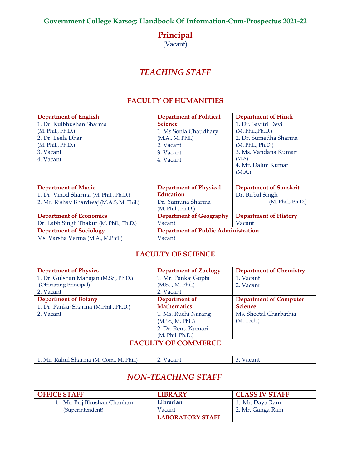## **Principal**

(Vacant)

# *TEACHING STAFF*

## **FACULTY OF HUMANITIES**

| <b>Department of English</b>             | <b>Department of Political</b>             | <b>Department of Hindi</b>    |  |
|------------------------------------------|--------------------------------------------|-------------------------------|--|
| 1. Dr. Kulbhushan Sharma                 | <b>Science</b>                             | 1. Dr. Savitri Devi           |  |
| (M. Phil., Ph.D.)                        | 1. Ms Sonia Chaudhary                      | (M. Phil., Ph.D.)             |  |
| 2. Dr. Leela Dhar                        | (M.A., M. Phil.)                           | 2. Dr. Sumedha Sharma         |  |
| (M. Phil., Ph.D.)                        | 2. Vacant                                  | (M. Phil., Ph.D.)             |  |
| 3. Vacant                                | 3. Vacant                                  | 3. Ms. Vandana Kumari         |  |
| 4. Vacant                                | 4. Vacant                                  | (M.A)                         |  |
|                                          |                                            | 4. Mr. Dalim Kumar            |  |
|                                          |                                            | (M.A.)                        |  |
|                                          |                                            |                               |  |
| <b>Department of Music</b>               | <b>Department of Physical</b>              | <b>Department of Sanskrit</b> |  |
| 1. Dr. Vinod Sharma (M. Phil., Ph.D.)    | <b>Education</b>                           | Dr. Birbal Singh              |  |
| 2. Mr. Rishav Bhardwaj (M.A.S, M. Phil.) | Dr. Yamuna Sharma                          | (M. Phil., Ph.D.)             |  |
|                                          | (M. Phil., Ph.D.)                          |                               |  |
| <b>Department of Economics</b>           | <b>Department of Geography</b>             | <b>Department of History</b>  |  |
| Dr. Labh Singh Thakur (M. Phil., Ph.D.)  | Vacant                                     | Vacant                        |  |
| <b>Department of Sociology</b>           | <b>Department of Public Administration</b> |                               |  |
| Ms. Varsha Verma (M.A., M.Phil.)         | Vacant                                     |                               |  |

## **FACULTY OF SCIENCE**

| <b>Department of Physics</b>            | <b>Department of Zoology</b> | <b>Department of Chemistry</b> |  |  |  |  |
|-----------------------------------------|------------------------------|--------------------------------|--|--|--|--|
|                                         |                              |                                |  |  |  |  |
| 1. Dr. Gulshan Mahajan (M.Sc., Ph.D.)   | 1. Mr. Pankaj Gupta          | 1. Vacant                      |  |  |  |  |
| (Officiating Principal)                 | (M.Sc., M. Phil.)            | 2. Vacant                      |  |  |  |  |
| 2. Vacant                               | 2. Vacant                    |                                |  |  |  |  |
| <b>Department of Botany</b>             | Department of                | <b>Department of Computer</b>  |  |  |  |  |
| 1. Dr. Pankaj Sharma (M.Phil., Ph.D.)   | <b>Mathematics</b>           | <b>Science</b>                 |  |  |  |  |
| 2. Vacant                               | 1. Ms. Ruchi Narang          | Ms. Sheetal Charbathia         |  |  |  |  |
|                                         | (M.Sc., M. Phil.)            | (M. Tech.)                     |  |  |  |  |
|                                         | 2. Dr. Renu Kumari           |                                |  |  |  |  |
| (M. Phil. Ph.D.)                        |                              |                                |  |  |  |  |
|                                         | <b>FACULTY OF COMMERCE</b>   |                                |  |  |  |  |
|                                         |                              |                                |  |  |  |  |
| 1. Mr. Rahul Sharma (M. Com., M. Phil.) | 2. Vacant                    | 3. Vacant                      |  |  |  |  |
|                                         |                              |                                |  |  |  |  |
|                                         | <b>NON-TEACHING STAFF</b>    |                                |  |  |  |  |
|                                         |                              |                                |  |  |  |  |
|                                         |                              |                                |  |  |  |  |
| <b>OFFICE STAFF</b>                     | <b>LIBRARY</b>               | <b>CLASS IV STAFF</b>          |  |  |  |  |
| 1. Mr. Brij Bhushan Chauhan             | Librarian                    | 1. Mr. Daya Ram                |  |  |  |  |
| (Superintendent)                        | Vacant                       | 2. Mr. Ganga Ram               |  |  |  |  |
|                                         | <b>LABORATORY STAFF</b>      |                                |  |  |  |  |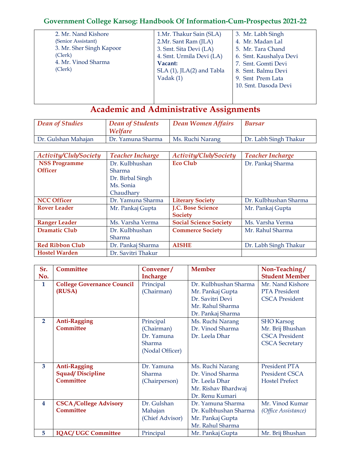| 2. Mr. Nand Kishore      | 1.Mr. Thakur Sain (SLA)   | 3. Mr. Labh Singh      |
|--------------------------|---------------------------|------------------------|
| (Senior Assistant)       | 2.Mr. Sant Ram (JLA)      | 4. Mr. Madan Lal       |
| 3. Mr. Sher Singh Kapoor | 3. Smt. Sita Devi (LA)    | 5. Mr. Tara Chand      |
| (Clerk)                  | 4. Smt. Urmila Devi (LA)  | 6. Smt. Kaushalya Devi |
| 4. Mr. Vinod Sharma      | Vacant:                   | 7. Smt. Gomti Devi     |
| (Clerk)                  | SLA (1), JLA(2) and Tabla | 8. Smt. Balmu Devi     |
|                          | Vadak $(1)$               | 9. Smt Prem Lata       |
|                          |                           | 10. Smt. Dasoda Devi   |
|                          |                           |                        |
|                          |                           |                        |

# **Academic and Administrative Assignments**

| Dean of Studies     | Dean of Students<br>Welfare | Dean Women Affairs | <b>Bursar</b>         |
|---------------------|-----------------------------|--------------------|-----------------------|
| Dr. Gulshan Mahajan | Dr. Yamuna Sharma           | Ms. Ruchi Narang   | Dr. Labh Singh Thakur |

| Activity/Club/Society  | <b>Teacher Incharge</b> | Activity/Club/Society         | <b>Teacher Incharge</b> |
|------------------------|-------------------------|-------------------------------|-------------------------|
| <b>NSS Programme</b>   | Dr. Kulbhushan          | <b>Eco Club</b>               | Dr. Pankaj Sharma       |
| <b>Officer</b>         | Sharma                  |                               |                         |
|                        | Dr. Birbal Singh        |                               |                         |
|                        | Ms. Sonia               |                               |                         |
|                        | Chaudhary               |                               |                         |
| <b>NCC Officer</b>     | Dr. Yamuna Sharma       | <b>Literary Society</b>       | Dr. Kulbhushan Sharma   |
| <b>Rover Leader</b>    | Mr. Pankaj Gupta        | J.C. Bose Science             | Mr. Pankaj Gupta        |
|                        |                         | <b>Society</b>                |                         |
| <b>Ranger Leader</b>   | Ms. Varsha Verma        | <b>Social Science Society</b> | Ms. Varsha Verma        |
| <b>Dramatic Club</b>   | Dr. Kulbhushan          | <b>Commerce Society</b>       | Mr. Rahul Sharma        |
|                        | Sharma                  |                               |                         |
| <b>Red Ribbon Club</b> | Dr. Pankaj Sharma       | <b>AISHE</b>                  | Dr. Labh Singh Thakur   |
| <b>Hostel Warden</b>   | Dr. Savitri Thakur      |                               |                         |

| Sr.            | <b>Committee</b>                  | Convener/       | <b>Member</b>         | Non-Teaching/         |
|----------------|-----------------------------------|-----------------|-----------------------|-----------------------|
| No.            |                                   | <b>Incharge</b> |                       | <b>Student Member</b> |
| $\mathbf{1}$   | <b>College Governance Council</b> | Principal       | Dr. Kulbhushan Sharma | Mr. Nand Kishore      |
|                | (RUSA)                            | (Chairman)      | Mr. Pankaj Gupta      | <b>PTA</b> President  |
|                |                                   |                 | Dr. Savitri Devi      | <b>CSCA President</b> |
|                |                                   |                 | Mr. Rahul Sharma      |                       |
|                |                                   |                 | Dr. Pankaj Sharma     |                       |
| $\overline{2}$ | <b>Anti-Ragging</b>               | Principal       | Ms. Ruchi Narang      | <b>SHO</b> Karsog     |
|                | Committee                         | (Chairman)      | Dr. Vinod Sharma      | Mr. Brij Bhushan      |
|                |                                   | Dr. Yamuna      | Dr. Leela Dhar        | <b>CSCA President</b> |
|                |                                   | Sharma          |                       | <b>CSCA</b> Secretary |
|                |                                   | (Nodal Officer) |                       |                       |
|                |                                   |                 |                       |                       |
| 3              | <b>Anti-Ragging</b>               | Dr. Yamuna      | Ms. Ruchi Narang      | <b>President PTA</b>  |
|                | <b>Squad/Discipline</b>           | Sharma          | Dr. Vinod Sharma      | <b>President CSCA</b> |
|                | Committee                         | (Chairperson)   | Dr. Leela Dhar        | <b>Hostel Prefect</b> |
|                |                                   |                 | Mr. Rishav Bhardwaj   |                       |
|                |                                   |                 | Dr. Renu Kumari       |                       |
| 4              | <b>CSCA/College Advisory</b>      | Dr. Gulshan     | Dr. Yamuna Sharma     | Mr. Vinod Kumar       |
|                | Committee                         | Mahajan         | Dr. Kulbhushan Sharma | (Office Assistance)   |
|                |                                   | (Chief Advisor) | Mr. Pankaj Gupta      |                       |
|                |                                   |                 | Mr. Rahul Sharma      |                       |
| 5              | <b>IQAC/ UGC Committee</b>        | Principal       | Mr. Pankaj Gupta      | Mr. Brij Bhushan      |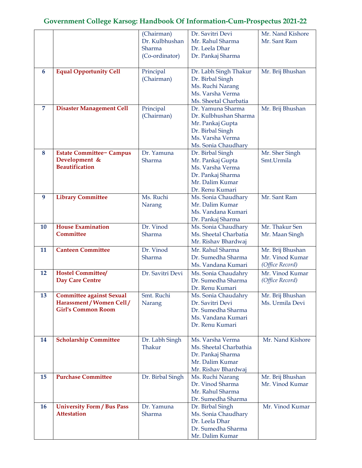|                |                                                                                           | (Chairman)<br>Dr. Kulbhushan<br>Sharma<br>(Co-ordinator) | Dr. Savitri Devi<br>Mr. Rahul Sharma<br>Dr. Leela Dhar<br>Dr. Pankaj Sharma                                                   | Mr. Nand Kishore<br>Mr. Sant Ram                       |
|----------------|-------------------------------------------------------------------------------------------|----------------------------------------------------------|-------------------------------------------------------------------------------------------------------------------------------|--------------------------------------------------------|
| 6              | <b>Equal Opportunity Cell</b>                                                             | Principal<br>(Chairman)                                  | Dr. Labh Singh Thakur<br>Dr. Birbal Singh<br>Ms. Ruchi Narang<br>Ms. Varsha Verma<br>Ms. Sheetal Charbatia                    | Mr. Brij Bhushan                                       |
| $\overline{7}$ | <b>Disaster Management Cell</b>                                                           | Principal<br>(Chairman)                                  | Dr. Yamuna Sharma<br>Dr. Kulbhushan Sharma<br>Mr. Pankaj Gupta<br>Dr. Birbal Singh<br>Ms. Varsha Verma<br>Ms. Sonia Chaudhary | Mr. Brij Bhushan                                       |
| 8              | <b>Estate Committee- Campus</b><br>Development &<br><b>Beautification</b>                 | Dr. Yamuna<br>Sharma                                     | Dr. Birbal Singh<br>Mr. Pankaj Gupta<br>Ms. Varsha Verma<br>Dr. Pankaj Sharma<br>Mr. Dalim Kumar<br>Dr. Renu Kumari           | Mr. Sher Singh<br>Smt.Urmila                           |
| 9              | <b>Library Committee</b>                                                                  | Ms. Ruchi<br>Narang                                      | Ms. Sonia Chaudhary<br>Mr. Dalim Kumar<br>Ms. Vandana Kumari<br>Dr. Pankaj Sharma                                             | Mr. Sant Ram                                           |
| 10             | <b>House Examination</b><br><b>Committee</b>                                              | Dr. Vinod<br>Sharma                                      | Ms. Sonia Chaudhary<br>Ms. Sheetal Charbatia<br>Mr. Rishav Bhardwaj                                                           | Mr. Thakur Sen<br>Mr. Maan Singh                       |
| 11             | <b>Canteen Committee</b>                                                                  | Dr. Vinod<br>Sharma                                      | Mr. Rahul Sharma<br>Dr. Sumedha Sharma<br>Ms. Vandana Kumari                                                                  | Mr. Brij Bhushan<br>Mr. Vinod Kumar<br>(Office Record) |
| 12             | <b>Hostel Committee/</b><br><b>Day Care Centre</b>                                        | Dr. Savitri Devi                                         | Ms. Sonia Chaudahry<br>Dr. Sumedha Sharma<br>Dr. Renu Kumari                                                                  | Mr. Vinod Kumar<br>(Office Record)                     |
| 13             | <b>Committee against Sexual</b><br>Harassment / Women Cell /<br><b>Girl's Common Room</b> | Smt. Ruchi<br>Narang                                     | Ms. Sonia Chaudahry<br>Dr. Savitri Devi<br>Dr. Sumedha Sharma<br>Ms. Vandana Kumari<br>Dr. Renu Kumari                        | Mr. Brij Bhushan<br>Ms. Urmila Devi                    |
| 14             | <b>Scholarship Committee</b>                                                              | Dr. Labh Singh<br>Thakur                                 | Ms. Varsha Verma<br>Ms. Sheetal Charbathia<br>Dr. Pankaj Sharma<br>Mr. Dalim Kumar<br>Mr. Rishav Bhardwaj                     | Mr. Nand Kishore                                       |
| 15             | <b>Purchase Committee</b>                                                                 | Dr. Birbal Singh                                         | Ms. Ruchi Narang<br>Dr. Vinod Sharma<br>Mr. Rahul Sharma<br>Dr. Sumedha Sharma                                                | Mr. Brij Bhushan<br>Mr. Vinod Kumar                    |
| <b>16</b>      | <b>University Form / Bus Pass</b><br><b>Attestation</b>                                   | Dr. Yamuna<br>Sharma                                     | Dr. Birbal Singh<br>Ms. Sonia Chaudhary<br>Dr. Leela Dhar<br>Dr. Sumedha Sharma<br>Mr. Dalim Kumar                            | Mr. Vinod Kumar                                        |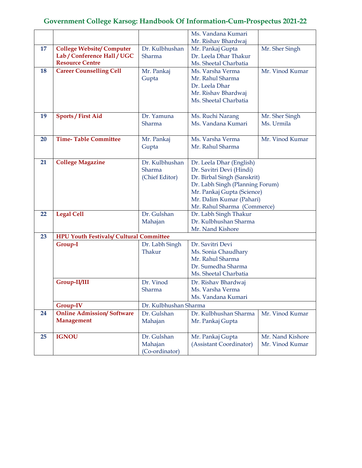|    |                                                |                       | Ms. Vandana Kumari              |                  |
|----|------------------------------------------------|-----------------------|---------------------------------|------------------|
|    |                                                |                       | Mr. Rishav Bhardwaj             |                  |
| 17 | <b>College Website/Computer</b>                | Dr. Kulbhushan        | Mr. Pankaj Gupta                | Mr. Sher Singh   |
|    | Lab / Conference Hall / UGC                    | Sharma                | Dr. Leela Dhar Thakur           |                  |
|    | <b>Resource Centre</b>                         |                       | Ms. Sheetal Charbatia           |                  |
| 18 | <b>Career Counselling Cell</b>                 | Mr. Pankaj            | Ms. Varsha Verma                | Mr. Vinod Kumar  |
|    |                                                | Gupta                 | Mr. Rahul Sharma                |                  |
|    |                                                |                       | Dr. Leela Dhar                  |                  |
|    |                                                |                       | Mr. Rishav Bhardwaj             |                  |
|    |                                                |                       | Ms. Sheetal Charbatia           |                  |
|    |                                                |                       |                                 |                  |
| 19 | <b>Sports / First Aid</b>                      | Dr. Yamuna            | Ms. Ruchi Narang                | Mr. Sher Singh   |
|    |                                                | Sharma                | Ms. Vandana Kumari              | Ms. Urmila       |
|    |                                                |                       |                                 |                  |
| 20 | <b>Time-Table Committee</b>                    | Mr. Pankaj            | Ms. Varsha Verma                | Mr. Vinod Kumar  |
|    |                                                | Gupta                 | Mr. Rahul Sharma                |                  |
|    |                                                |                       |                                 |                  |
| 21 | <b>College Magazine</b>                        | Dr. Kulbhushan        | Dr. Leela Dhar (English)        |                  |
|    |                                                | Sharma                | Dr. Savitri Devi (Hindi)        |                  |
|    |                                                | (Chief Editor)        | Dr. Birbal Singh (Sanskrit)     |                  |
|    |                                                |                       | Dr. Labh Singh (Planning Forum) |                  |
|    |                                                |                       | Mr. Pankaj Gupta (Science)      |                  |
|    |                                                |                       | Mr. Dalim Kumar (Pahari)        |                  |
|    |                                                |                       | Mr. Rahul Sharma (Commerce)     |                  |
| 22 | <b>Legal Cell</b>                              | Dr. Gulshan           | Dr. Labh Singh Thakur           |                  |
|    |                                                | Mahajan               | Dr. Kulbhushan Sharma           |                  |
|    |                                                |                       | Mr. Nand Kishore                |                  |
| 23 | <b>HPU Youth Festivals/ Cultural Committee</b> |                       |                                 |                  |
|    | Group-I                                        | Dr. Labh Singh        | Dr. Savitri Devi                |                  |
|    |                                                | Thakur                | Ms. Sonia Chaudhary             |                  |
|    |                                                |                       | Mr. Rahul Sharma                |                  |
|    |                                                |                       | Dr. Sumedha Sharma              |                  |
|    |                                                |                       | Ms. Sheetal Charbatia           |                  |
|    | Group-II/III                                   | Dr. Vinod             | Dr. Rishav Bhardwaj             |                  |
|    |                                                | Sharma                | Ms. Varsha Verma                |                  |
|    |                                                |                       | Ms. Vandana Kumari              |                  |
|    | Group-IV                                       | Dr. Kulbhushan Sharma |                                 |                  |
| 24 | <b>Online Admission/Software</b>               | Dr. Gulshan           | Dr. Kulbhushan Sharma           | Mr. Vinod Kumar  |
|    | <b>Management</b>                              | Mahajan               | Mr. Pankaj Gupta                |                  |
|    |                                                |                       |                                 |                  |
| 25 | <b>IGNOU</b>                                   | Dr. Gulshan           | Mr. Pankaj Gupta                | Mr. Nand Kishore |
|    |                                                | Mahajan               | (Assistant Coordinator)         | Mr. Vinod Kumar  |
|    |                                                | (Co-ordinator)        |                                 |                  |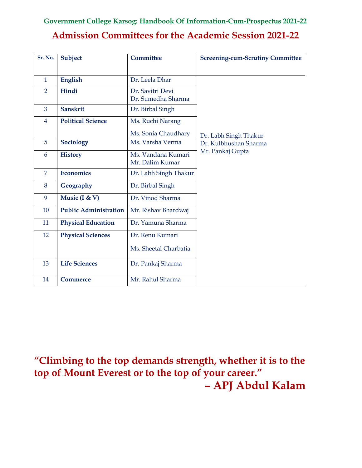# **Admission Committees for the Academic Session 2021-22**

| Sr. No.        | Subject                      | Committee                              | <b>Screening-cum-Scrutiny Committee</b> |
|----------------|------------------------------|----------------------------------------|-----------------------------------------|
|                |                              |                                        |                                         |
| $\mathbf{1}$   | English                      | Dr. Leela Dhar                         |                                         |
| $\overline{2}$ | Hindi                        | Dr. Savitri Devi<br>Dr. Sumedha Sharma |                                         |
| 3              | <b>Sanskrit</b>              | Dr. Birbal Singh                       |                                         |
| $\overline{4}$ | <b>Political Science</b>     | Ms. Ruchi Narang                       |                                         |
|                |                              | Ms. Sonia Chaudhary                    | Dr. Labh Singh Thakur                   |
| 5              | Sociology                    | Ms. Varsha Verma                       | Dr. Kulbhushan Sharma                   |
| 6              | <b>History</b>               | Ms. Vandana Kumari<br>Mr. Dalim Kumar  | Mr. Pankaj Gupta                        |
| $\overline{7}$ | <b>Economics</b>             | Dr. Labh Singh Thakur                  |                                         |
| 8              | Geography                    | Dr. Birbal Singh                       |                                         |
| 9              | Music (I & V)                | Dr. Vinod Sharma                       |                                         |
| 10             | <b>Public Administration</b> | Mr. Rishav Bhardwaj                    |                                         |
| 11             | <b>Physical Education</b>    | Dr. Yamuna Sharma                      |                                         |
| 12             | <b>Physical Sciences</b>     | Dr. Renu Kumari                        |                                         |
|                |                              | Ms. Sheetal Charbatia                  |                                         |
| 13             | <b>Life Sciences</b>         | Dr. Pankaj Sharma                      |                                         |
| 14             | <b>Commerce</b>              | Mr. Rahul Sharma                       |                                         |

**"Climbing to the top demands strength, whether it is to the top of Mount Everest or to the top of your career." – APJ Abdul Kalam**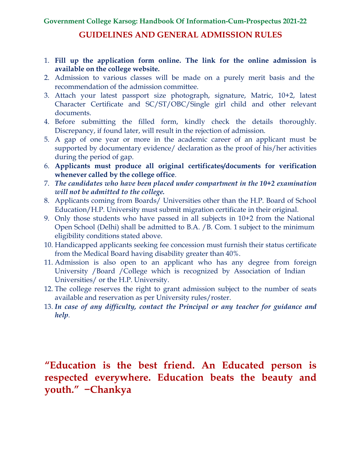## **GUIDELINES AND GENERAL ADMISSION RULES**

- 1. **Fill up the application form online. The link for the online admission is available on the college website.**
- 2. Admission to various classes will be made on a purely merit basis and the recommendation of the admission committee.
- 3. Attach your latest passport size photograph, signature, Matric, 10+2, latest Character Certificate and SC/ST/OBC/Single girl child and other relevant documents.
- 4. Before submitting the filled form, kindly check the details thoroughly. Discrepancy, if found later, will result in the rejection of admission.
- 5. A gap of one year or more in the academic career of an applicant must be supported by documentary evidence/ declaration as the proof of his/her activities during the period of gap.
- 6. **Applicants must produce all original certificates/documents for verification whenever called by the college office**.
- 7. *The candidates who have been placed under compartment in the 10+2 examination will not be admitted to the college.*
- 8. Applicants coming from Boards/ Universities other than the H.P. Board of School Education/H.P. University must submit migration certificate in their original.
- 9. Only those students who have passed in all subjects in 10+2 from the National Open School (Delhi) shall be admitted to B.A. /B. Com. 1 subject to the minimum eligibility conditions stated above.
- 10. Handicapped applicants seeking fee concession must furnish their status certificate from the Medical Board having disability greater than 40%.
- 11. Admission is also open to an applicant who has any degree from foreign University /Board /College which is recognized by Association of Indian Universities/ or the H.P. University.
- 12. The college reserves the right to grant admission subject to the number of seats available and reservation as per University rules/roster.
- 13. *In case of any difficulty, contact the Principal or any teacher for guidance and help*.

# **"Education is the best friend. An Educated person is respected everywhere. Education beats the beauty and youth." −Chankya**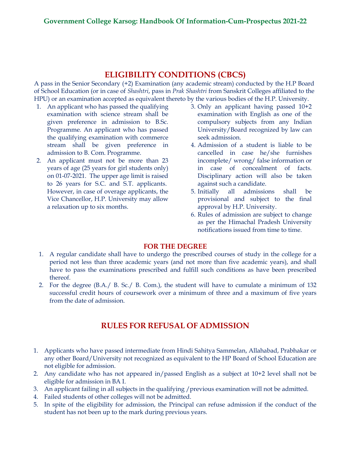## **ELIGIBILITY CONDITIONS (CBCS)**

A pass in the Senior Secondary (+2) Examination (any academic stream) conducted by the H.P Board of School Education (or in case of *Shashtri*, pass in *Prak Shashtri* from Sanskrit Colleges affiliated to the HPU) or an examination accepted as equivalent thereto by the various bodies of the H.P. University.

- 1. An applicant who has passed the qualifying examination with science stream shall be given preference in admission to B.Sc. Programme. An applicant who has passed the qualifying examination with commerce stream shall be given preference in admission to B. Com. Programme.
- 2. An applicant must not be more than 23 years of age (25 years for girl students only) on 01-07-2021. The upper age limit is raised to 26 years for S.C. and S.T. applicants. However, in case of overage applicants, the Vice Chancellor, H.P. University may allow a relaxation up to six months.
- 3. Only an applicant having passed 10+2 examination with English as one of the compulsory subjects from any Indian University/Board recognized by law can seek admission.
- 4. Admission of a student is liable to be cancelled in case he/she furnishes incomplete/ wrong/ false information or in case of concealment of facts. Disciplinary action will also be taken against such a candidate.
- 5. Initially all admissions shall be provisional and subject to the final approval by H.P. University.
- 6. Rules of admission are subject to change as per the Himachal Pradesh University notifications issued from time to time.

### **FOR THE DEGREE**

- 1. A regular candidate shall have to undergo the prescribed courses of study in the college for a period not less than three academic years (and not more than five academic years), and shall have to pass the examinations prescribed and fulfill such conditions as have been prescribed thereof.
- 2. For the degree (B.A./ B. Sc./ B. Com.), the student will have to cumulate a minimum of 132 successful credit hours of coursework over a minimum of three and a maximum of five years from the date of admission.

## **RULES FOR REFUSAL OF ADMISSION**

- 1. Applicants who have passed intermediate from Hindi Sahitya Sammelan, Allahabad, Prabhakar or any other Board/University not recognized as equivalent to the HP Board of School Education are not eligible for admission.
- 2. Any candidate who has not appeared in/passed English as a subject at 10+2 level shall not be eligible for admission in BA I.
- 3. An applicant failing in all subjects in the qualifying /previous examination will not be admitted.
- 4. Failed students of other colleges will not be admitted.
- 5. In spite of the eligibility for admission, the Principal can refuse admission if the conduct of the student has not been up to the mark during previous years.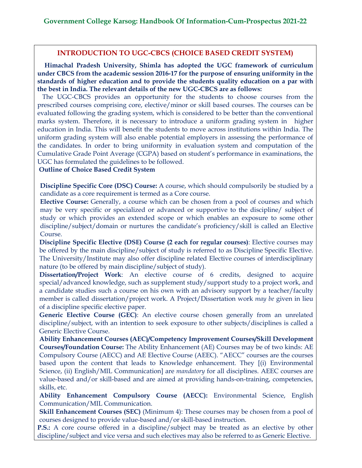### **INTRODUCTION TO UGC-CBCS (CHOICE BASED CREDIT SYSTEM)**

 **Himachal Pradesh University, Shimla has adopted the UGC framework of curriculum under CBCS from the academic session 2016-17 for the purpose of ensuring uniformity in the standards of higher education and to provide the students quality education on a par with the best in India. The relevant details of the new UGC-CBCS are as follows:**

 The UGC-CBCS provides an opportunity for the students to choose courses from the prescribed courses comprising core, elective/minor or skill based courses. The courses can be evaluated following the grading system, which is considered to be better than the conventional marks system. Therefore, it is necessary to introduce a uniform grading system in higher education in India. This will benefit the students to move across institutions within India. The uniform grading system will also enable potential employers in assessing the performance of the candidates. In order to bring uniformity in evaluation system and computation of the Cumulative Grade Point Average (CGPA) based on student's performance in examinations, the UGC has formulated the guidelines to be followed.

**Outline of Choice Based Credit System**

**Discipline Specific Core (DSC) Course:** A course, which should compulsorily be studied by a candidate as a core requirement is termed as a Core course.

**Elective Course:** Generally, a course which can be chosen from a pool of courses and which may be very specific or specialized or advanced or supportive to the discipline/ subject of study or which provides an extended scope or which enables an exposure to some other discipline/subject/domain or nurtures the candidate's proficiency/skill is called an Elective Course.

**Discipline Specific Elective (DSE) Course (2 each for regular courses)**: Elective courses may be offered by the main discipline/subject of study is referred to as Discipline Specific Elective. The University/Institute may also offer discipline related Elective courses of interdisciplinary nature (to be offered by main discipline/subject of study).

**Dissertation/Project Work**: An elective course of 6 credits, designed to acquire special/advanced knowledge, such as supplement study/support study to a project work, and a candidate studies such a course on his own with an advisory support by a teacher/faculty member is called dissertation/project work. A Project/Dissertation work *may be* given in lieu of a discipline specific elective paper.

**Generic Elective Course (GEC)**: An elective course chosen generally from an unrelated discipline/subject, with an intention to seek exposure to other subjects/disciplines is called a Generic Elective Course.

**Ability Enhancement Courses (AEC)/Competency Improvement Courses/Skill Development Courses/Foundation Course:** The Ability Enhancement (AE) Courses may be of two kinds: AE Compulsory Course (AECC) and AE Elective Course (AEEC). "AECC" courses are the courses based upon the content that leads to Knowledge enhancement. They [(i) Environmental Science, (ii) English/MIL Communication] are *mandatory* for all disciplines. AEEC courses are value-based and/or skill-based and are aimed at providing hands-on-training, competencies, skills, etc.

**Ability Enhancement Compulsory Course (AECC):** Environmental Science, English Communication/MIL Communication.

**Skill Enhancement Courses (SEC)** (Minimum 4): These courses may be chosen from a pool of courses designed to provide value-based and/or skill-based instruction.

**P.S.:** A core course offered in a discipline/subject may be treated as an elective by other discipline/subject and vice versa and such electives may also be referred to as Generic Elective.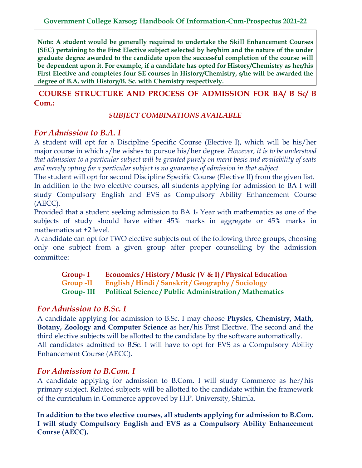**Note: A student would be generally required to undertake the Skill Enhancement Courses (SEC) pertaining to the First Elective subject selected by her/him and the nature of the under graduate degree awarded to the candidate upon the successful completion of the course will be dependent upon it. For example, if a candidate has opted for History/Chemistry as her/his First Elective and completes four SE courses in History/Chemistry, s/he will be awarded the degree of B.A. with History/B. Sc. with Chemistry respectively.**

 **COURSE STRUCTURE AND PROCESS OF ADMISSION FOR BA/ B Sc/ B Com.:**

*SUBJECT COMBINATIONS AVAILABLE*

## *For Admission to B.A. I*

A student will opt for a Discipline Specific Course (Elective I), which will be his/her major course in which s/he wishes to pursue his/her degree. *However, it is to be understood that admission to a particular subject will be granted purely on merit basis and availability of seats and merely opting for a particular subject is no guarantee of admission in that subject.*

The student will opt for second Discipline Specific Course (Elective II) from the given list.

In addition to the two elective courses, all students applying for admission to BA I will study Compulsory English and EVS as Compulsory Ability Enhancement Course (AECC).

Provided that a student seeking admission to BA  $1<sup>s</sup>$  Year with mathematics as one of the subjects of study should have either 45% marks in aggregate or 45% marks in mathematics at +2 level.

A candidate can opt for TWO elective subjects out of the following three groups, choosing only one subject from a given group after proper counselling by the admission committee:

**Group- I Economics / History / Music (V & I) / Physical Education Group -II English / Hindi / Sanskrit / Geography / Sociology Group- III Political Science / Public Administration / Mathematics**

## *For Admission to B.Sc. I*

A candidate applying for admission to B.Sc. I may choose **Physics, Chemistry, Math, Botany, Zoology and Computer Science** as her/his First Elective. The second and the third elective subjects will be allotted to the candidate by the software automatically. All candidates admitted to B.Sc. I will have to opt for EVS as a Compulsory Ability Enhancement Course (AECC).

## *For Admission to B.Com. I*

A candidate applying for admission to B.Com. I will study Commerce as her/his primary subject. Related subjects will be allotted to the candidate within the framework of the curriculum in Commerce approved by H.P. University, Shimla.

**In addition to the two elective courses, all students applying for admission to B.Com. I will study Compulsory English and EVS as a Compulsory Ability Enhancement Course (AECC).**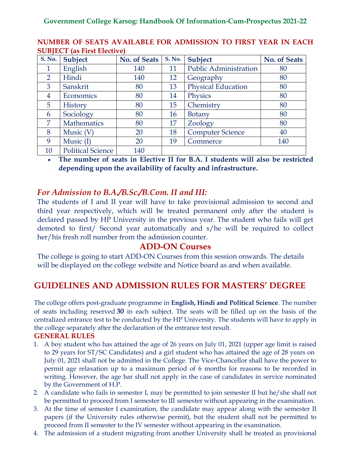| <b>S. No.</b>  | Subject                  | <b>No. of Seats</b> | <b>S. No.</b> | Subject                      | <b>No. of Seats</b> |
|----------------|--------------------------|---------------------|---------------|------------------------------|---------------------|
| 1              | English                  | 140                 | 11            | <b>Public Administration</b> | 80                  |
| $\overline{2}$ | Hindi                    | 140                 | 12            | Geography                    | 80                  |
| 3              | Sanskrit                 | 80                  | 13            | <b>Physical Education</b>    | 80                  |
| $\overline{4}$ | Economics                | 80                  | 14            | Physics                      | 80                  |
| $\overline{5}$ | History                  | 80                  | 15            | Chemistry                    | 80                  |
| 6              | Sociology                | 80                  | 16            | <b>Botany</b>                | 80                  |
| 7              | Mathematics              | 80                  | 17            | Zoology                      | 80                  |
| 8              | Music $(V)$              | 20                  | 18            | <b>Computer Science</b>      | 40                  |
| 9              | Music $(I)$              | 20                  | 19            | Commerce                     | 140                 |
| 10             | <b>Political Science</b> | 140                 |               |                              |                     |

## **NUMBER OF SEATS AVAILABLE FOR ADMISSION TO FIRST YEAR IN EACH SUBJECT (as First Elective)**

• **The number of seats in Elective II for B.A. I students will also be restricted depending upon the availability of faculty and infrastructure.**

# *For Admission to B.A./B.Sc./B.Com. II and III:*

The students of I and II year will have to take provisional admission to second and third year respectively, which will be treated permanent only after the student is declared passed by HP University in the previous year. The student who fails will get demoted to first/ Second year automatically and s/he will be required to collect her/his fresh roll number from the admission counter.

## **ADD-ON Courses**

The college is going to start ADD-ON Courses from this session onwards. The details will be displayed on the college website and Notice board as and when available.

# **GUIDELINES AND ADMISSION RULES FOR MASTERS' DEGREE**

The college offers post-graduate programme in **English, Hindi and Political Science**. The number of seats including reserved **30** in each subject. The seats will be filled up on the basis of the centralized entrance test to be conducted by the HP University. The students will have to apply in the college separately after the declaration of the entrance test result.

## **GENERAL RULES**

- 1. A boy student who has attained the age of 26 years on July 01, 2021 (upper age limit is raised to 29 years for ST/SC Candidates) and a girl student who has attained the age of 28 years on July 01, 2021 shall not be admitted in the College. The Vice-Chancellor shall have the power to permit age relaxation up to a maximum period of 6 months for reasons to be recorded in writing. However, the age bar shall not apply in the case of candidates in service nominated by the Government of H.P.
- 2. A candidate who fails in semester I, may be permitted to join semester II but he/she shall not be permitted to proceed from I semester to III semester without appearing in the examination.
- 3. At the time of semester I examination, the candidate may appear along with the semester II papers (if the University rules otherwise permit), but the student shall not be permitted to proceed from II semester to the IV semester without appearing in the examination.
- 4. The admission of a student migrating from another University shall be treated as provisional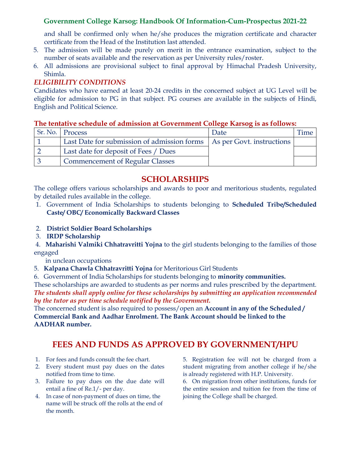and shall be confirmed only when he/she produces the migration certificate and character certificate from the Head of the Institution last attended.

- 5. The admission will be made purely on merit in the entrance examination, subject to the number of seats available and the reservation as per University rules/roster.
- 6. All admissions are provisional subject to final approval by Himachal Pradesh University, Shimla.

## *ELIGIBILITY CONDITIONS*

Candidates who have earned at least 20-24 credits in the concerned subject at UG Level will be eligible for admission to PG in that subject. PG courses are available in the subjects of Hindi, English and Political Science.

### **The tentative schedule of admission at Government College Karsog is as follows:**

| Sr. No. Process                                                         | Date |  |
|-------------------------------------------------------------------------|------|--|
| Last Date for submission of admission forms   As per Govt. instructions |      |  |
| Last date for deposit of Fees / Dues                                    |      |  |
| <b>Commencement of Regular Classes</b>                                  |      |  |

## **SCHOLARSHIPS**

The college offers various scholarships and awards to poor and meritorious students, regulated by detailed rules available in the college.

- 1. Government of India Scholarships to students belonging to **Scheduled Tribe/Scheduled Caste/ OBC/ Economically Backward Classes**
- 2. **District Soldier Board Scholarships**
- 3. **IRDP Scholarship**

4. **Maharishi Valmiki Chhatravritti Yojna** to the girl students belonging to the families of those engaged

in unclean occupations

- 5. **Kalpana Chawla Chhatravritti Yojna** for Meritorious Girl Students
- 6. Government of India Scholarships for students belonging to **minority communities.**

These scholarships are awarded to students as per norms and rules prescribed by the department. *The students shall apply online for these scholarships by submitting an application recommended by the tutor as per time schedule notified by the Government.*

The concerned student is also required to possess/open an **Account in any of the Scheduled / Commercial Bank and Aadhar Enrolment. The Bank Account should be linked to the AADHAR number.**

# **FEES AND FUNDS AS APPROVED BY GOVERNMENT/HPU**

- 1. For fees and funds consult the fee chart.
- 2. Every student must pay dues on the dates notified from time to time.
- 3. Failure to pay dues on the due date will entail a fine of Re.1/- per day.
- 4. In case of non-payment of dues on time, the name will be struck off the rolls at the end of the month.

5. Registration fee will not be charged from a student migrating from another college if he/she is already registered with H.P. University.

6. On migration from other institutions, funds for the entire session and tuition fee from the time of joining the College shall be charged.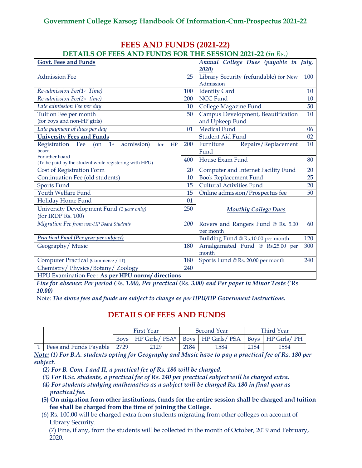# **FEES AND FUNDS (2021-22)**

| <b>DETAILS OF FEES AND FUNDS FOR THE SESSION 2021-22 (in Rs.)</b> |     |                                       |                     |
|-------------------------------------------------------------------|-----|---------------------------------------|---------------------|
| <b>Govt. Fees and Funds</b>                                       |     | Annual College Dues (payable in       | $\overline{J}$ uly, |
|                                                                   |     | 2020)                                 |                     |
| <b>Admission Fee</b>                                              | 25  | Library Security (refundable) for New | 100                 |
|                                                                   |     | Admission                             |                     |
| Re-admission Fee(1 <sup>st</sup> Time)                            | 100 | <b>Identity Card</b>                  | 10                  |
| Re-admission Fee(2 <sup>nd</sup> time)                            | 200 | <b>NCC Fund</b>                       | 10                  |
| Late admission Fee per day                                        | 10  | College Magazine Fund                 | 50                  |
| Tuition Fee per month                                             | 50  | Campus Development, Beautification    | 10                  |
| (for boys and non-HP girls)                                       |     | and Upkeep Fund                       |                     |
| Late payment of dues per day                                      | 01  | Medical Fund                          | 06                  |
| <b>University Fees and Funds</b>                                  |     | <b>Student Aid Fund</b>               | 02                  |
| Registration Fee (on 1st<br>admission)<br>for<br>HP               | 200 | Furniture<br>Repairs/Replacement      | 10                  |
| board                                                             |     | Fund                                  |                     |
| For other board                                                   | 400 | House Exam Fund                       | 80                  |
| (To be paid by the student while registering with HPU)            |     |                                       |                     |
| Cost of Registration Form                                         | 20  | Computer and Internet Facility Fund   | 20                  |
| Continuation Fee (old students)                                   | 10  | <b>Book Replacement Fund</b>          | 25                  |
| <b>Sports Fund</b>                                                | 15  | <b>Cultural Activities Fund</b>       | 20                  |
| Youth Welfare Fund                                                | 15  | Online admission/Prospectus fee       | 50                  |
| Holiday Home Fund                                                 | 01  |                                       |                     |
| University Development Fund (1 year only)                         | 250 | <b>Monthly College Dues</b>           |                     |
| (for IRDP Rs. 100)                                                |     |                                       |                     |
| Migration Fee from non-HP Board Students                          | 200 | Rovers and Rangers Fund @ Rs. 5.00    | 60                  |
|                                                                   |     | per month                             |                     |
| <b>Practical Fund (Per year per subject)</b>                      |     | Building Fund @ Rs.10.00 per month    | 120                 |
| Geography/Music                                                   | 180 | Amalgamated Fund @ Rs.25.00 per       | 300                 |
|                                                                   |     | month                                 |                     |
| Computer Practical (Commerce / IT)                                | 180 | Sports Fund @ Rs. 20.00 per month     | 240                 |
| Chemistry/Physics/Botany/Zoology                                  | 240 |                                       |                     |
| HPU Examination Fee : As per HPU norms/ directions                |     |                                       |                     |

*Fine for absence: Per period (*Rs. *1.00), Per practical (*Rs. *3.00) and Per paper in Minor Tests (*`Rs. *10.00)*

Note: *The above fees and funds are subject to change as per HPU/HP Government Instructions.*

## **DETAILS OF FEES AND FUNDS**

|                        | <b>First Year</b> |                                                                    | Second Year |      | Third Year |      |
|------------------------|-------------------|--------------------------------------------------------------------|-------------|------|------------|------|
|                        |                   | Boys   HP Girls/ PSA*   Boys   HP Girls/ PSA   Boys   HP Girls/ PH |             |      |            |      |
| Fees and Funds Payable | 2729              | 2129                                                               | 2184        | 1584 | 2184       | 1584 |

*Note: (1) For B.A. students opting for Geography and Music have to pay a practical fee of Rs. 180 per subject.*

*(2) For B. Com. I and II, a practical fee of Rs. 180 will be charged.*

*(3) For B.Sc. students, a practical fee of Rs. 240 per practical subject will be charged extra.*

- *(4) For students studying mathematics as a subject will be charged Rs. 180 in final year as practical fee.*
- **(5) On migration from other institutions, funds for the entire session shall be charged and tuition fee shall be charged from the time of joining the College.**
- (6) Rs. 100.00 will be charged extra from students migrating from other colleges on account of Library Security.

(7) Fine, if any, from the students will be collected in the month of October, 2019 and February, 2020.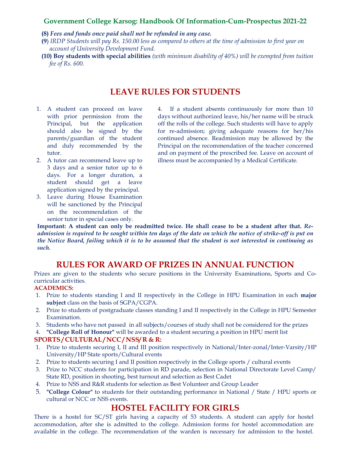#### **(8)** *Fees and funds once paid shall not be refunded in any case.*

- **(9**) *IRDP Students will pay Rs. 150.00 less as compared to others at the time of admission to first year on account of University Development Fund.*
- **(10) Boy students with special abilities** *(with minimum disability of 40%) will be exempted from tuition fee of Rs. 600.*

## **LEAVE RULES FOR STUDENTS**

- 1. A student can proceed on leave with prior permission from the Principal, but the application should also be signed by the parents/guardian of the student and duly recommended by the tutor.
- 2. A tutor can recommend leave up to 3 days and a senior tutor up to 6 days. For a longer duration, a student should get a leave application signed by the principal.
- 3. Leave during House Examination will be sanctioned by the Principal on the recommendation of the senior tutor in special cases only.

4. If a student absents continuously for more than 10 days without authorized leave, his/her name will be struck off the rolls of the college. Such students will have to apply for re-admission; giving adequate reasons for her/his continued absence. Readmission may be allowed by the Principal on the recommendation of the teacher concerned and on payment of the prescribed fee. Leave on account of illness must be accompanied by a Medical Certificate.

**Important: A student can only be readmitted twice. He shall cease to be a student after that.** *Readmission is required to be sought within ten days of the date on which the notice of strike-off is put on the Notice Board, failing which it is to be assumed that the student is not interested in continuing as such.*

## **RULES FOR AWARD OF PRIZES IN ANNUAL FUNCTION**

Prizes are given to the students who secure positions in the University Examinations, Sports and Cocurricular activities.

### **ACADEMICS:**

- 1. Prize to students standing I and II respectively in the College in HPU Examination in each **major subject** class on the basis of SGPA/CGPA.
- 2. Prize to students of postgraduate classes standing I and II respectively in the College in HPU Semester Examination.
- 3. Students who have not passed in all subjects/courses of study shall not be considered for the prizes
- 4. **"College Roll of Honour"** will be awarded to a student securing a position in HPU merit list **SPORTS / CULTURAL / NCC / NSS/ R & R:**
- 1. Prize to students securing I, II and III position respectively in National/Inter-zonal/Inter-Varsity/HP University/HP State sports/Cultural events
- 2. Prize to students securing I and II position respectively in the College sports / cultural events
- 3. Prize to NCC students for participation in RD parade, selection in National Directorate Level Camp/ State RD, position in shooting, best turnout and selection as Best Cadet
- 4. Prize to NSS and R&R students for selection as Best Volunteer and Group Leader
- 5. **"College Colour"** to students for their outstanding performance in National / State / HPU sports or cultural or NCC or NSS events.

## **HOSTEL FACILITY FOR GIRLS**

There is a hostel for SC/ST girls having a capacity of 53 students. A student can apply for hostel accommodation, after she is admitted to the college. Admission forms for hostel accommodation are available in the college. The recommendation of the warden is necessary for admission to the hostel.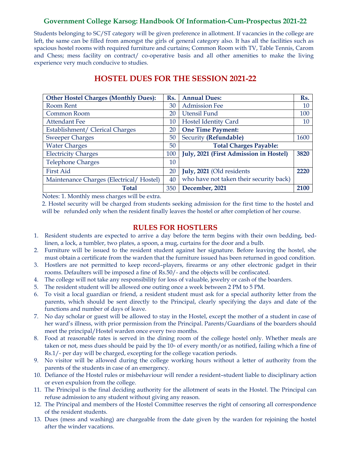Students belonging to SC/ST category will be given preference in allotment. If vacancies in the college are left, the same can be filled from amongst the girls of general category also. It has all the facilities such as spacious hostel rooms with required furniture and curtains; Common Room with TV, Table Tennis, Carom and Chess; mess facility on contract/ co-operative basis and all other amenities to make the living experience very much conducive to studies.

| <b>Other Hostel Charges (Monthly Dues):</b> | Rs. | <b>Annual Dues:</b>                     | Rs.    |  |
|---------------------------------------------|-----|-----------------------------------------|--------|--|
| Room Rent                                   |     | <b>Admission Fee</b>                    | 10     |  |
| Common Room                                 |     | Utensil Fund                            | 100    |  |
| <b>Attendant Fee</b>                        |     | <b>Hostel Identity Card</b>             | $10\,$ |  |
| Establishment/ Clerical Charges             |     | <b>One Time Payment:</b>                |        |  |
| <b>Sweeper Charges</b>                      |     | Security (Refundable)                   | 1600   |  |
| <b>Water Charges</b>                        |     | <b>Total Charges Payable:</b>           |        |  |
| <b>Electricity Charges</b>                  |     | July, 2021 (First Admission in Hostel)  | 3820   |  |
| <b>Telephone Charges</b>                    | 10  |                                         |        |  |
| <b>First Aid</b>                            |     | July, 2021 (Old residents               | 2220   |  |
| Maintenance Charges (Electrical/Hostel)     |     | who have not taken their security back) |        |  |
| <b>Total</b>                                | 350 | December, 2021                          | 2100   |  |

## **HOSTEL DUES FOR THE SESSION 2021-22**

Notes: 1. Monthly mess charges will be extra.

2. Hostel security will be charged from students seeking admission for the first time to the hostel and will be refunded only when the resident finally leaves the hostel or after completion of her course.

### **RULES FOR HOSTLERS**

- 1. Resident students are expected to arrive a day before the term begins with their own bedding, bedlinen, a lock, a tumbler, two plates, a spoon, a mug, curtains for the door and a bulb.
- 2. Furniture will be issued to the resident student against her signature. Before leaving the hostel, she must obtain a certificate from the warden that the furniture issued has been returned in good condition.
- 3. Hostlers are not permitted to keep record–players, firearms or any other electronic gadget in their rooms. Defaulters will be imposed a fine of Rs.50/- and the objects will be confiscated.
- 4. The college will not take any responsibility for loss of valuable, jewelry or cash of the boarders.
- 5. The resident student will be allowed one outing once a week between 2 PM to 5 PM.
- 6. To visit a local guardian or friend, a resident student must ask for a special authority letter from the parents, which should be sent directly to the Principal, clearly specifying the days and date of the functions and number of days of leave.
- 7. No day scholar or guest will be allowed to stay in the Hostel, except the mother of a student in case of her ward's illness, with prior permission from the Principal. Parents/Guardians of the boarders should meet the principal/Hostel warden once every two months.
- 8. Food at reasonable rates is served in the dining room of the college hostel only. Whether meals are taken or not, mess dues should be paid by the  $10<sup>th</sup>$  of every month/or as notified, failing which a fine of Rs.1/- per day will be charged, excepting for the college vacation periods.
- 9. No visitor will be allowed during the college working hours without a letter of authority from the parents of the students in case of an emergency.
- 10. Defiance of the Hostel rules or misbehaviour will render a resident–student liable to disciplinary action or even expulsion from the college.
- 11. The Principal is the final deciding authority for the allotment of seats in the Hostel. The Principal can refuse admission to any student without giving any reason.
- 12. The Principal and members of the Hostel Committee reserves the right of censoring all correspondence of the resident students.
- 13. Dues (mess and washing) are chargeable from the date given by the warden for rejoining the hostel after the winder vacations.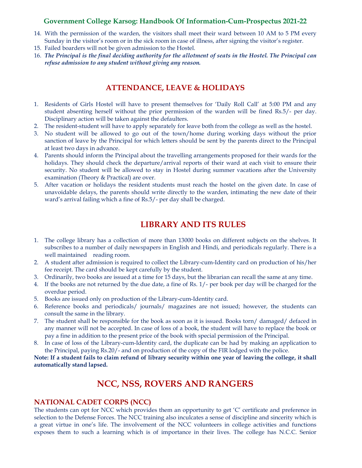- 14. With the permission of the warden, the visitors shall meet their ward between 10 AM to 5 PM every Sunday in the visitor's room or in the sick room in case of illness, after signing the visitor's register.
- 15. Failed boarders will not be given admission to the Hostel.
- 16. *The Principal is the final deciding authority for the allotment of seats in the Hostel. The Principal can refuse admission to any student without giving any reason.*

### **ATTENDANCE, LEAVE & HOLIDAYS**

- 1. Residents of Girls Hostel will have to present themselves for 'Daily Roll Call' at 5:00 PM and any student absenting herself without the prior permission of the warden will be fined Rs.5/- per day. Disciplinary action will be taken against the defaulters.
- 2. The resident-student will have to apply separately for leave both from the college as well as the hostel.
- 3. No student will be allowed to go out of the town/home during working days without the prior sanction of leave by the Principal for which letters should be sent by the parents direct to the Principal at least two days in advance.
- 4. Parents should inform the Principal about the travelling arrangements proposed for their wards for the holidays. They should check the departure/arrival reports of their ward at each visit to ensure their security. No student will be allowed to stay in Hostel during summer vacations after the University examination (Theory & Practical) are over.
- 5. After vacation or holidays the resident students must reach the hostel on the given date. In case of unavoidable delays, the parents should write directly to the warden, intimating the new date of their ward's arrival failing which a fine of Rs.5/- per day shall be charged.

## **LIBRARY AND ITS RULES**

- 1. The college library has a collection of more than 13000 books on different subjects on the shelves. It subscribes to a number of daily newspapers in English and Hindi, and periodicals regularly. There is a well maintained reading room.
- 2. A student after admission is required to collect the Library-cum-Identity card on production of his/her fee receipt. The card should be kept carefully by the student.
- 3. Ordinarily, two books are issued at a time for 15 days, but the librarian can recall the same at any time.
- 4. If the books are not returned by the due date, a fine of Rs. 1/- per book per day will be charged for the overdue period.
- 5. Books are issued only on production of the Library-cum-Identity card.
- 6. Reference books and periodicals/ journals/ magazines are not issued; however, the students can consult the same in the library.
- 7. The student shall be responsible for the book as soon as it is issued. Books torn/ damaged/ defaced in any manner will not be accepted. In case of loss of a book, the student will have to replace the book or pay a fine in addition to the present price of the book with special permission of the Principal.
- 8. In case of loss of the Library-cum-Identity card, the duplicate can be had by making an application to the Principal, paying Rs.20/- and on production of the copy of the FIR lodged with the police.

**Note: If a student fails to claim refund of library security within one year of leaving the college, it shall automatically stand lapsed.**

# **NCC, NSS, ROVERS AND RANGERS**

#### **NATIONAL CADET CORPS (NCC)**

The students can opt for NCC which provides them an opportunity to get 'C' certificate and preference in selection to the Defense Forces. The NCC training also inculcates a sense of discipline and sincerity which is a great virtue in one's life. The involvement of the NCC volunteers in college activities and functions exposes them to such a learning which is of importance in their lives. The college has N.C.C. Senior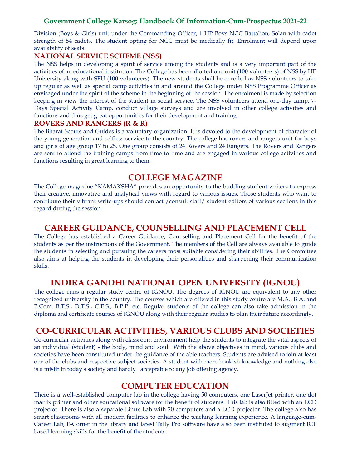Division (Boys & Girls) unit under the Commanding Officer, 1 HP Boys NCC Battalion, Solan with cadet strength of 54 cadets. The student opting for NCC must be medically fit. Enrolment will depend upon availability of seats.

### **NATIONAL SERVICE SCHEME (NSS)**

The NSS helps in developing a spirit of service among the students and is a very important part of the activities of an educational institution. The College has been allotted one unit (100 volunteers) of NSS by HP University along with SFU (100 volunteers). The new students shall be enrolled as NSS volunteers to take up regular as well as special camp activities in and around the College under NSS Programme Officer as envisaged under the spirit of the scheme in the beginning of the session. The enrolment is made by selection keeping in view the interest of the student in social service. The NSS volunteers attend one-day camp, 7- Days Special Activity Camp, conduct village surveys and are involved in other college activities and functions and thus get great opportunities for their development and training.

### **ROVERS AND RANGERS (R & R)**

The Bharat Scouts and Guides is a voluntary organization. It is devoted to the development of character of the young generation and selfless service to the country. The college has rovers and rangers unit for boys and girls of age group 17 to 25. One group consists of 24 Rovers and 24 Rangers. The Rovers and Rangers are sent to attend the training camps from time to time and are engaged in various college activities and functions resulting in great learning to them.

### **COLLEGE MAGAZINE**

The College magazine "KAMAKSHA" provides an opportunity to the budding student writers to express their creative, innovative and analytical views with regard to various issues. Those students who want to contribute their vibrant write-ups should contact /consult staff/ student editors of various sections in this regard during the session.

## **CAREER GUIDANCE, COUNSELLING AND PLACEMENT CELL**

The College has established a Career Guidance, Counselling and Placement Cell for the benefit of the students as per the instructions of the Government. The members of the Cell are always available to guide the students in selecting and pursuing the careers most suitable considering their abilities. The Committee also aims at helping the students in developing their personalities and sharpening their communication skills.

## **INDIRA GANDHI NATIONAL OPEN UNIVERSITY (IGNOU)**

The college runs a regular study centre of IGNOU. The degrees of IGNOU are equivalent to any other recognized university in the country. The courses which are offered in this study centre are M.A., B.A. and B.Com. B.T.S., D.T.S., C.E.S., B.P.P. etc. Regular students of the college can also take admission in the diploma and certificate courses of IGNOU along with their regular studies to plan their future accordingly.

## **CO-CURRICULAR ACTIVITIES, VARIOUS CLUBS AND SOCIETIES**

Co-curricular activities along with classroom environment help the students to integrate the vital aspects of an individual (student) - the body, mind and soul. With the above objectives in mind, various clubs and societies have been constituted under the guidance of the able teachers. Students are advised to join at least one of the clubs and respective subject societies. A student with mere bookish knowledge and nothing else is a misfit in today's society and hardly acceptable to any job offering agency.

## **COMPUTER EDUCATION**

There is a well-established computer lab in the college having 50 computers, one LaserJet printer, one dot matrix printer and other educational software for the benefit of students. This lab is also fitted with an LCD projector. There is also a separate Linux Lab with 20 computers and a LCD projector. The college also has smart classrooms with all modern facilities to enhance the teaching learning experience. A language-cum-Career Lab, E-Corner in the library and latest Tally Pro software have also been instituted to augment ICT based learning skills for the benefit of the students.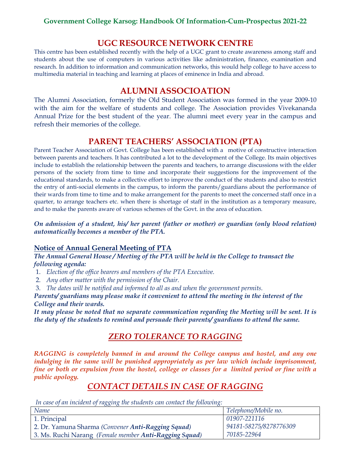## **UGC RESOURCE NETWORK CENTRE**

This centre has been established recently with the help of a UGC grant to create awareness among staff and students about the use of computers in various activities like administration, finance, examination and research. In addition to information and communication networks, this would help college to have access to multimedia material in teaching and learning at places of eminence in India and abroad.

## **ALUMNI ASSOCIOATION**

The Alumni Association, formerly the Old Student Association was formed in the year 2009-10 with the aim for the welfare of students and college. The Association provides Vivekananda Annual Prize for the best student of the year. The alumni meet every year in the campus and refresh their memories of the college.

## **PARENT TEACHERS' ASSOCIATION (PTA)**

Parent Teacher Association of Govt. College has been established with a motive of constructive interaction between parents and teachers. It has contributed a lot to the development of the College. Its main objectives include to establish the relationship between the parents and teachers, to arrange discussions with the elder persons of the society from time to time and incorporate their suggestions for the improvement of the educational standards, to make a collective effort to improve the conduct of the students and also to restrict the entry of anti-social elements in the campus, to inform the parents/guardians about the performance of their wards from time to time and to make arrangement for the parents to meet the concerned staff once in a quarter, to arrange teachers etc. when there is shortage of staff in the institution as a temporary measure, and to make the parents aware of various schemes of the Govt. in the area of education.

*On admission of a student, his/ her parent (father or mother) or guardian (only blood relation) automatically becomes a member of the PTA.*

### **Notice of Annual General Meeting of PTA**

*The Annual General House / Meeting of the PTA will be held in the College to transact the following agenda:*

- 1. *Election of the office bearers and members of the PTA Executive.*
- 2. *Any other matter with the permission of the Chair.*
- 3. *The dates will be notified and informed to all as and when the government permits.*

Parents/ guardians may please make it convenient to attend the meeting in the interest of the *College and their wards.*

*It may please be noted that no separate communication regarding the Meeting will be sent. It is the duty of the students to remind and persuade their parents/ guardians to attend the same.*

## *ZERO TOLERANCE TO RAGGING*

*RAGGING is completely banned in and around the College campus and hostel, and any one*  indulging in the same will be punished appropriately as per law which include imprisonment, *fine or both or expulsion from the hostel, college or classes for a limited period or fine with a public apology.*

# *CONTACT DETAILS IN CASE OF RAGGING*

*In case of an incident of ragging the students can contact the following:*

| Name                                                   | Telephone/Mobile no.   |
|--------------------------------------------------------|------------------------|
| 1. Principal                                           | 01907-221116           |
| 2. Dr. Yamuna Sharma (Convener Anti-Ragging Squad)     | 94181-58275/8278776309 |
| 3. Ms. Ruchi Narang (Female member Anti-Ragging Squad) | 70185-22964            |